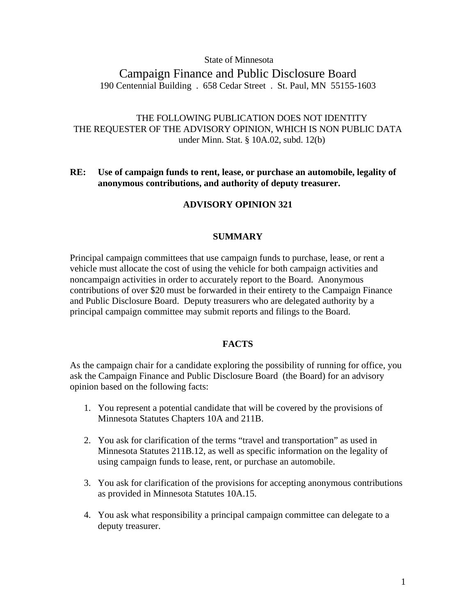## State of Minnesota

# Campaign Finance and Public Disclosure Board 190 Centennial Building . 658 Cedar Street . St. Paul, MN 55155-1603

# THE FOLLOWING PUBLICATION DOES NOT IDENTITY THE REQUESTER OF THE ADVISORY OPINION, WHICH IS NON PUBLIC DATA under Minn. Stat. § 10A.02, subd. 12(b)

# **RE: Use of campaign funds to rent, lease, or purchase an automobile, legality of anonymous contributions, and authority of deputy treasurer.**

# **ADVISORY OPINION 321**

# **SUMMARY**

Principal campaign committees that use campaign funds to purchase, lease, or rent a vehicle must allocate the cost of using the vehicle for both campaign activities and noncampaign activities in order to accurately report to the Board. Anonymous contributions of over \$20 must be forwarded in their entirety to the Campaign Finance and Public Disclosure Board. Deputy treasurers who are delegated authority by a principal campaign committee may submit reports and filings to the Board.

## **FACTS**

As the campaign chair for a candidate exploring the possibility of running for office, you ask the Campaign Finance and Public Disclosure Board (the Board) for an advisory opinion based on the following facts:

- 1. You represent a potential candidate that will be covered by the provisions of Minnesota Statutes Chapters 10A and 211B.
- 2. You ask for clarification of the terms "travel and transportation" as used in Minnesota Statutes 211B.12, as well as specific information on the legality of using campaign funds to lease, rent, or purchase an automobile.
- 3. You ask for clarification of the provisions for accepting anonymous contributions as provided in Minnesota Statutes 10A.15.
- 4. You ask what responsibility a principal campaign committee can delegate to a deputy treasurer.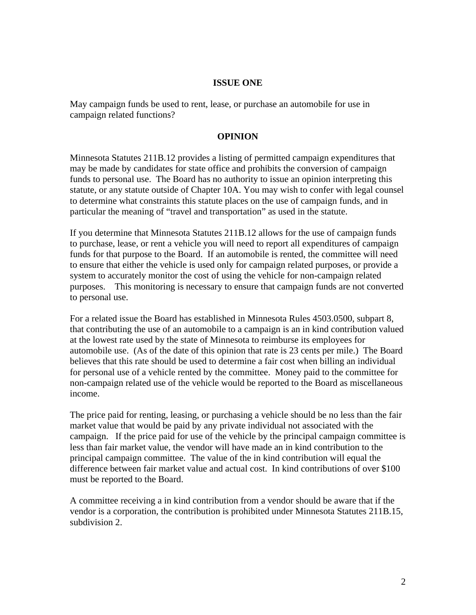# **ISSUE ONE**

May campaign funds be used to rent, lease, or purchase an automobile for use in campaign related functions?

# **OPINION**

Minnesota Statutes 211B.12 provides a listing of permitted campaign expenditures that may be made by candidates for state office and prohibits the conversion of campaign funds to personal use. The Board has no authority to issue an opinion interpreting this statute, or any statute outside of Chapter 10A. You may wish to confer with legal counsel to determine what constraints this statute places on the use of campaign funds, and in particular the meaning of "travel and transportation" as used in the statute.

If you determine that Minnesota Statutes 211B.12 allows for the use of campaign funds to purchase, lease, or rent a vehicle you will need to report all expenditures of campaign funds for that purpose to the Board. If an automobile is rented, the committee will need to ensure that either the vehicle is used only for campaign related purposes, or provide a system to accurately monitor the cost of using the vehicle for non-campaign related purposes. This monitoring is necessary to ensure that campaign funds are not converted to personal use.

For a related issue the Board has established in Minnesota Rules 4503.0500, subpart 8, that contributing the use of an automobile to a campaign is an in kind contribution valued at the lowest rate used by the state of Minnesota to reimburse its employees for automobile use. (As of the date of this opinion that rate is 23 cents per mile.) The Board believes that this rate should be used to determine a fair cost when billing an individual for personal use of a vehicle rented by the committee. Money paid to the committee for non-campaign related use of the vehicle would be reported to the Board as miscellaneous income.

The price paid for renting, leasing, or purchasing a vehicle should be no less than the fair market value that would be paid by any private individual not associated with the campaign. If the price paid for use of the vehicle by the principal campaign committee is less than fair market value, the vendor will have made an in kind contribution to the principal campaign committee. The value of the in kind contribution will equal the difference between fair market value and actual cost. In kind contributions of over \$100 must be reported to the Board.

A committee receiving a in kind contribution from a vendor should be aware that if the vendor is a corporation, the contribution is prohibited under Minnesota Statutes 211B.15, subdivision 2.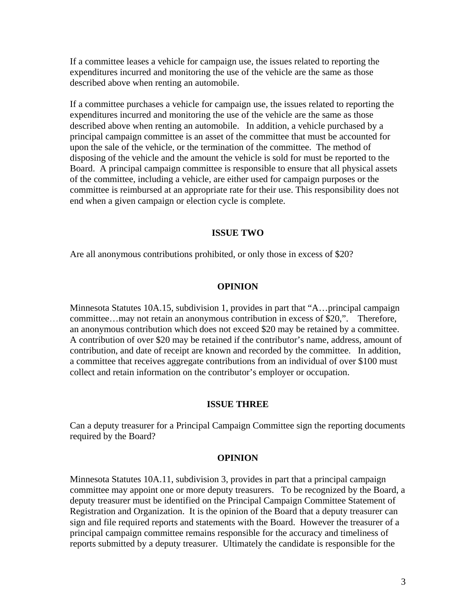If a committee leases a vehicle for campaign use, the issues related to reporting the expenditures incurred and monitoring the use of the vehicle are the same as those described above when renting an automobile.

If a committee purchases a vehicle for campaign use, the issues related to reporting the expenditures incurred and monitoring the use of the vehicle are the same as those described above when renting an automobile. In addition, a vehicle purchased by a principal campaign committee is an asset of the committee that must be accounted for upon the sale of the vehicle, or the termination of the committee. The method of disposing of the vehicle and the amount the vehicle is sold for must be reported to the Board. A principal campaign committee is responsible to ensure that all physical assets of the committee, including a vehicle, are either used for campaign purposes or the committee is reimbursed at an appropriate rate for their use. This responsibility does not end when a given campaign or election cycle is complete.

## **ISSUE TWO**

Are all anonymous contributions prohibited, or only those in excess of \$20?

#### **OPINION**

Minnesota Statutes 10A.15, subdivision 1, provides in part that "A…principal campaign committee…may not retain an anonymous contribution in excess of \$20,". Therefore, an anonymous contribution which does not exceed \$20 may be retained by a committee. A contribution of over \$20 may be retained if the contributor's name, address, amount of contribution, and date of receipt are known and recorded by the committee. In addition, a committee that receives aggregate contributions from an individual of over \$100 must collect and retain information on the contributor's employer or occupation.

#### **ISSUE THREE**

Can a deputy treasurer for a Principal Campaign Committee sign the reporting documents required by the Board?

### **OPINION**

Minnesota Statutes 10A.11, subdivision 3, provides in part that a principal campaign committee may appoint one or more deputy treasurers. To be recognized by the Board, a deputy treasurer must be identified on the Principal Campaign Committee Statement of Registration and Organization. It is the opinion of the Board that a deputy treasurer can sign and file required reports and statements with the Board. However the treasurer of a principal campaign committee remains responsible for the accuracy and timeliness of reports submitted by a deputy treasurer. Ultimately the candidate is responsible for the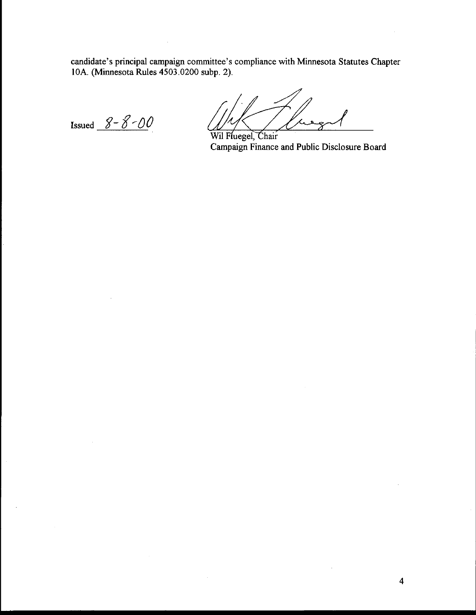candidate's principal campaign committee's compliance with Minnesota Statutes Chapter 10A. (Mmesota Rules 4503.0200 subp. 2).

Issued  $8 - 8 - 00$ 

Wil Fluegel, Chair Campaign Finance and Public Disclosure Board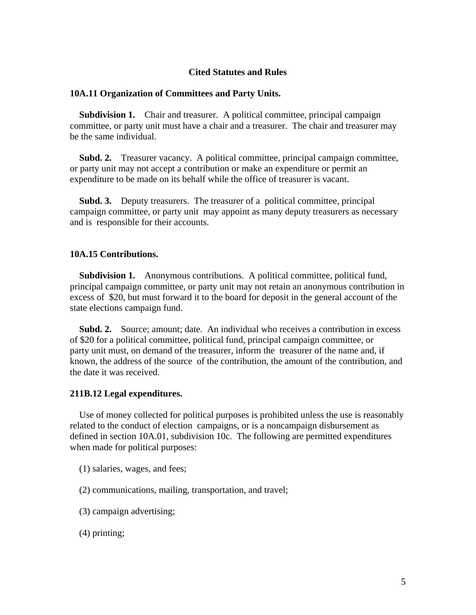## **Cited Statutes and Rules**

#### **10A.11 Organization of Committees and Party Units.**

 **Subdivision 1.** Chair and treasurer. A political committee, principal campaign committee, or party unit must have a chair and a treasurer. The chair and treasurer may be the same individual.

 **Subd. 2.** Treasurer vacancy. A political committee, principal campaign committee, or party unit may not accept a contribution or make an expenditure or permit an expenditure to be made on its behalf while the office of treasurer is vacant.

 **Subd. 3.** Deputy treasurers. The treasurer of a political committee, principal campaign committee, or party unit may appoint as many deputy treasurers as necessary and is responsible for their accounts.

### **10A.15 Contributions.**

**Subdivision 1.** Anonymous contributions. A political committee, political fund, principal campaign committee, or party unit may not retain an anonymous contribution in excess of \$20, but must forward it to the board for deposit in the general account of the state elections campaign fund.

 **Subd. 2.** Source; amount; date. An individual who receives a contribution in excess of \$20 for a political committee, political fund, principal campaign committee, or party unit must, on demand of the treasurer, inform the treasurer of the name and, if known, the address of the source of the contribution, the amount of the contribution, and the date it was received.

#### **211B.12 Legal expenditures.**

 Use of money collected for political purposes is prohibited unless the use is reasonably related to the conduct of election campaigns, or is a noncampaign disbursement as defined in section 10A.01, subdivision 10c. The following are permitted expenditures when made for political purposes:

- (1) salaries, wages, and fees;
- (2) communications, mailing, transportation, and travel;
- (3) campaign advertising;
- (4) printing;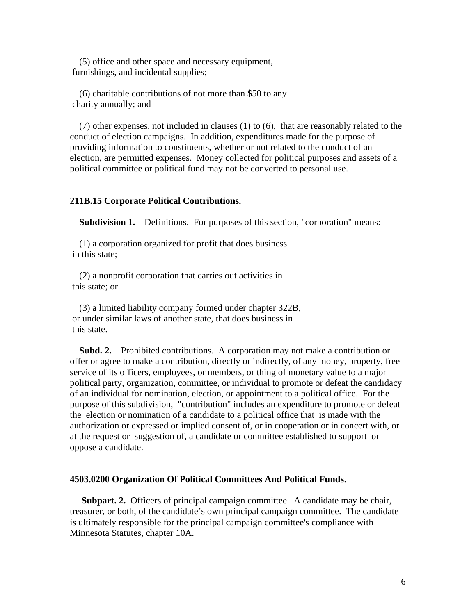(5) office and other space and necessary equipment, furnishings, and incidental supplies;

 (6) charitable contributions of not more than \$50 to any charity annually; and

 (7) other expenses, not included in clauses (1) to (6), that are reasonably related to the conduct of election campaigns. In addition, expenditures made for the purpose of providing information to constituents, whether or not related to the conduct of an election, are permitted expenses. Money collected for political purposes and assets of a political committee or political fund may not be converted to personal use.

### **211B.15 Corporate Political Contributions.**

**Subdivision 1.** Definitions. For purposes of this section, "corporation" means:

 (1) a corporation organized for profit that does business in this state;

 (2) a nonprofit corporation that carries out activities in this state; or

 (3) a limited liability company formed under chapter 322B, or under similar laws of another state, that does business in this state.

 **Subd. 2.** Prohibited contributions. A corporation may not make a contribution or offer or agree to make a contribution, directly or indirectly, of any money, property, free service of its officers, employees, or members, or thing of monetary value to a major political party, organization, committee, or individual to promote or defeat the candidacy of an individual for nomination, election, or appointment to a political office. For the purpose of this subdivision, "contribution" includes an expenditure to promote or defeat the election or nomination of a candidate to a political office that is made with the authorization or expressed or implied consent of, or in cooperation or in concert with, or at the request or suggestion of, a candidate or committee established to support or oppose a candidate.

#### **4503.0200 Organization Of Political Committees And Political Funds**.

**Subpart. 2.** Officers of principal campaign committee. A candidate may be chair, treasurer, or both, of the candidate's own principal campaign committee. The candidate is ultimately responsible for the principal campaign committee's compliance with Minnesota Statutes, chapter 10A.